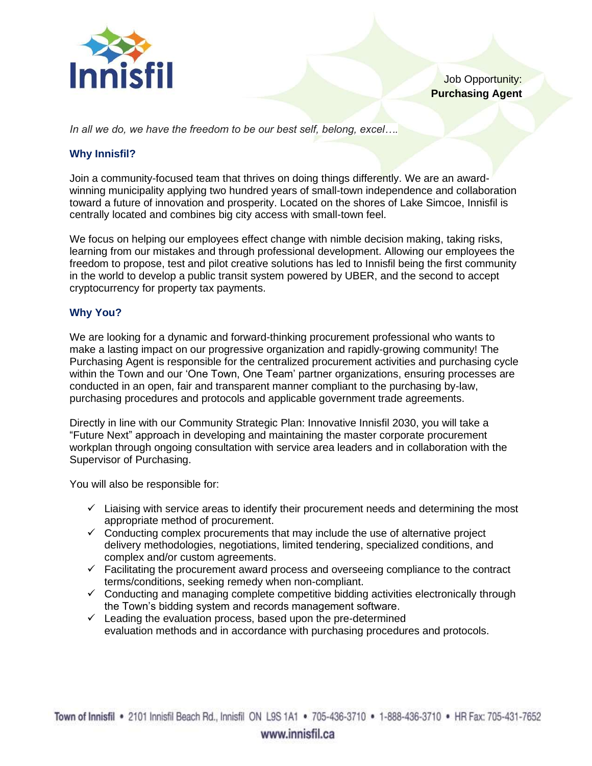

*In all we do, we have the freedom to be our best self, belong, excel….*

## **Why Innisfil?**

Join a community-focused team that thrives on doing things differently. We are an awardwinning municipality applying two hundred years of small-town independence and collaboration toward a future of innovation and prosperity. Located on the shores of Lake Simcoe, Innisfil is centrally located and combines big city access with small-town feel.

We focus on helping our employees effect change with nimble decision making, taking risks, learning from our mistakes and through professional development. Allowing our employees the freedom to propose, test and pilot creative solutions has led to Innisfil being the first community in the world to develop a public transit system powered by UBER, and the second to accept cryptocurrency for property tax payments.

## **Why You?**

We are looking for a dynamic and forward-thinking procurement professional who wants to make a lasting impact on our progressive organization and rapidly-growing community! The Purchasing Agent is responsible for the centralized procurement activities and purchasing cycle within the Town and our 'One Town, One Team' partner organizations, ensuring processes are conducted in an open, fair and transparent manner compliant to the purchasing by-law, purchasing procedures and protocols and applicable government trade agreements.

Directly in line with our Community Strategic Plan: Innovative Innisfil 2030, you will take a "Future Next" approach in developing and maintaining the master corporate procurement workplan through ongoing consultation with service area leaders and in collaboration with the Supervisor of Purchasing.

You will also be responsible for:

- $\checkmark$  Liaising with service areas to identify their procurement needs and determining the most appropriate method of procurement.
- $\checkmark$  Conducting complex procurements that may include the use of alternative project delivery methodologies, negotiations, limited tendering, specialized conditions, and complex and/or custom agreements.
- $\checkmark$  Facilitating the procurement award process and overseeing compliance to the contract terms/conditions, seeking remedy when non-compliant.
- $\checkmark$  Conducting and managing complete competitive bidding activities electronically through the Town's bidding system and records management software.
- $\checkmark$  Leading the evaluation process, based upon the pre-determined evaluation methods and in accordance with purchasing procedures and protocols.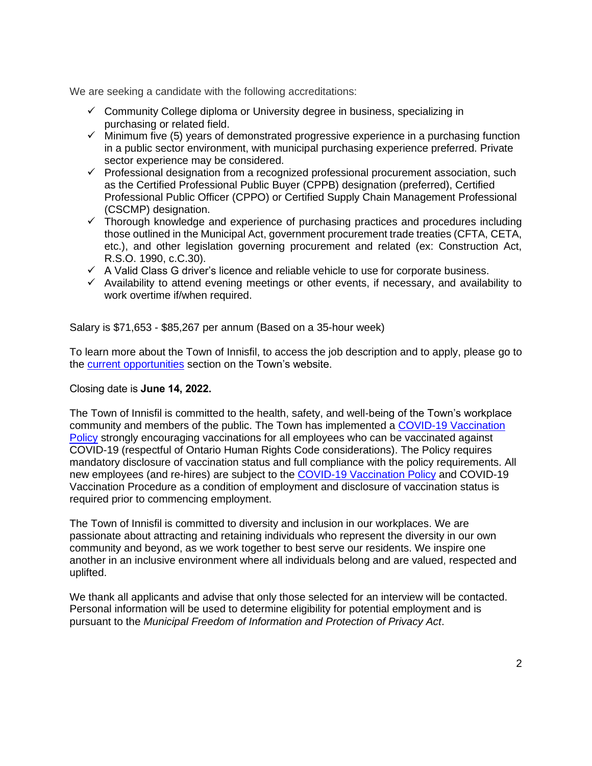We are seeking a candidate with the following accreditations:

- $\checkmark$  Community College diploma or University degree in business, specializing in purchasing or related field.
- $\checkmark$  Minimum five (5) years of demonstrated progressive experience in a purchasing function in a public sector environment, with municipal purchasing experience preferred. Private sector experience may be considered.
- $\checkmark$  Professional designation from a recognized professional procurement association, such as the Certified Professional Public Buyer (CPPB) designation (preferred), Certified Professional Public Officer (CPPO) or Certified Supply Chain Management Professional (CSCMP) designation.
- $\checkmark$  Thorough knowledge and experience of purchasing practices and procedures including those outlined in the Municipal Act, government procurement trade treaties (CFTA, CETA, etc.), and other legislation governing procurement and related (ex: Construction Act, R.S.O. 1990, c.C.30).
- $\checkmark$  A Valid Class G driver's licence and reliable vehicle to use for corporate business.
- $\checkmark$  Availability to attend evening meetings or other events, if necessary, and availability to work overtime if/when required.

Salary is \$71,653 - \$85,267 per annum (Based on a 35-hour week)

To learn more about the Town of Innisfil, to access the job description and to apply, please go to the [current opportunities](https://innisfil.ca/en/business-and-employment/current-opportunities.aspx) section on the Town's website.

## Closing date is **June 14, 2022.**

The Town of Innisfil is committed to the health, safety, and well-being of the Town's workplace community and members of the public. The Town has implemented a [COVID-19 Vaccination](https://innisfil.ca/en/business-and-employment/resources/Documents/CP.11.2.6-COVID-19-Vaccination-Policy.pdf)  [Policy](https://innisfil.ca/en/business-and-employment/resources/Documents/CP.11.2.6-COVID-19-Vaccination-Policy.pdf) strongly encouraging vaccinations for all employees who can be vaccinated against COVID-19 (respectful of Ontario Human Rights Code considerations). The Policy requires mandatory disclosure of vaccination status and full compliance with the policy requirements. All new employees (and re-hires) are subject to the [COVID-19 Vaccination Policy](https://innisfil.ca/en/business-and-employment/resources/Documents/CP.11.2.6-COVID-19-Vaccination-Policy.pdf) and COVID-19 Vaccination Procedure as a condition of employment and disclosure of vaccination status is required prior to commencing employment.

The Town of Innisfil is committed to diversity and inclusion in our workplaces. We are passionate about attracting and retaining individuals who represent the diversity in our own community and beyond, as we work together to best serve our residents. We inspire one another in an inclusive environment where all individuals belong and are valued, respected and uplifted.

We thank all applicants and advise that only those selected for an interview will be contacted. Personal information will be used to determine eligibility for potential employment and is pursuant to the *Municipal Freedom of Information and Protection of Privacy Act*.